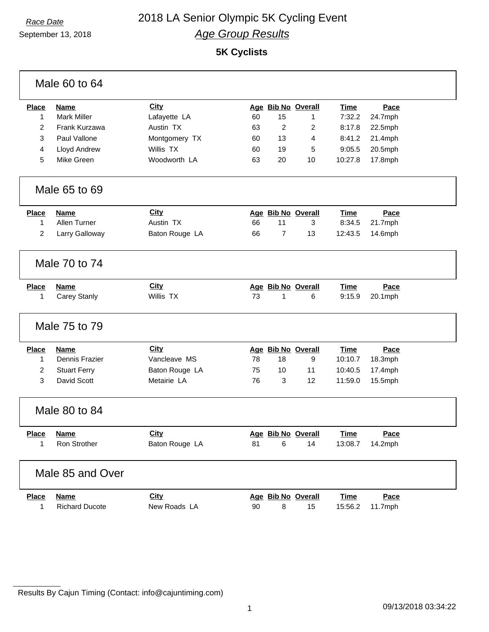# September 13, 2018

## *Race Date* 2018 LA Senior Olympic 5K Cycling Event *Age Group Results*

**5K Cyclists**

| Male 60 to 64    |                       |                |    |                    |                    |             |         |  |  |
|------------------|-----------------------|----------------|----|--------------------|--------------------|-------------|---------|--|--|
| <b>Place</b>     | Name                  | City           |    |                    | Age Bib No Overall | <b>Time</b> | Pace    |  |  |
| $\mathbf 1$      | <b>Mark Miller</b>    | Lafayette LA   | 60 | 15                 | 1                  | 7:32.2      | 24.7mph |  |  |
| $\overline{2}$   | Frank Kurzawa         | Austin TX      | 63 | $\overline{2}$     | 2                  | 8:17.8      | 22.5mph |  |  |
| 3                | Paul Vallone          | Montgomery TX  | 60 | 13                 | 4                  | 8:41.2      | 21.4mph |  |  |
| 4                | Lloyd Andrew          | Willis TX      | 60 | 19                 | 5                  | 9:05.5      | 20.5mph |  |  |
| 5                | Mike Green            | Woodworth LA   | 63 | 20                 | 10                 | 10:27.8     | 17.8mph |  |  |
| Male 65 to 69    |                       |                |    |                    |                    |             |         |  |  |
| <b>Place</b>     | <b>Name</b>           | <b>City</b>    |    |                    | Age Bib No Overall | <b>Time</b> | Pace    |  |  |
| $\mathbf 1$      | Allen Turner          | Austin TX      | 66 | 11                 | 3                  | 8:34.5      | 21.7mph |  |  |
| $\overline{2}$   | Larry Galloway        | Baton Rouge LA | 66 | $\overline{7}$     | 13                 | 12:43.5     | 14.6mph |  |  |
| Male 70 to 74    |                       |                |    |                    |                    |             |         |  |  |
| <b>Place</b>     | Name                  | City           |    |                    | Age Bib No Overall | <b>Time</b> | Pace    |  |  |
| $\mathbf{1}$     | Carey Stanly          | Willis TX      | 73 | 1                  | 6                  | 9:15.9      | 20.1mph |  |  |
| Male 75 to 79    |                       |                |    |                    |                    |             |         |  |  |
| <b>Place</b>     | <b>Name</b>           | City           |    |                    | Age Bib No Overall | <b>Time</b> | Pace    |  |  |
| 1                | Dennis Frazier        | Vancleave MS   | 78 | 18                 | 9                  | 10:10.7     | 18.3mph |  |  |
| $\overline{c}$   | <b>Stuart Ferry</b>   | Baton Rouge LA | 75 | 10                 | 11                 | 10:40.5     | 17.4mph |  |  |
| 3                | David Scott           | Metairie LA    | 76 | 3                  | 12                 | 11:59.0     | 15.5mph |  |  |
| Male 80 to 84    |                       |                |    |                    |                    |             |         |  |  |
| <b>Place</b>     | <b>Name</b>           | <b>City</b>    |    | Age Bib No Overall |                    | <u>Time</u> | Pace    |  |  |
| 1                | Ron Strother          | Baton Rouge LA | 81 | 6                  | 14                 | 13:08.7     | 14.2mph |  |  |
| Male 85 and Over |                       |                |    |                    |                    |             |         |  |  |
| <b>Place</b>     | <b>Name</b>           | City           |    |                    | Age Bib No Overall | <b>Time</b> | Pace    |  |  |
| $\mathbf{1}$     | <b>Richard Ducote</b> | New Roads LA   | 90 | 8                  | 15                 | 15:56.2     | 11.7mph |  |  |

Results By Cajun Timing (Contact: info@cajuntiming.com)